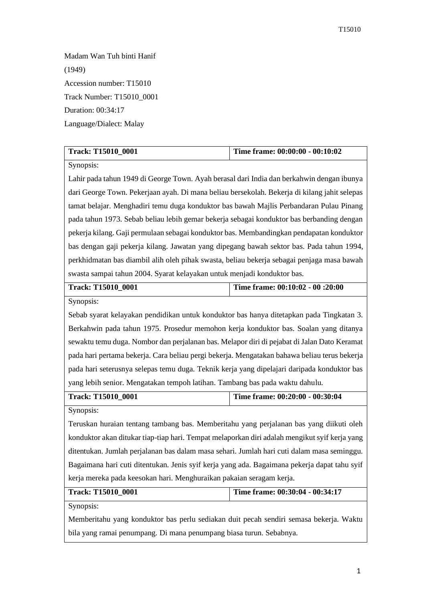Madam Wan Tuh binti Hanif (1949) Accession number: T15010 Track Number: T15010\_0001 Duration: 00:34:17 Language/Dialect: Malay

| <b>Track: T15010 0001</b> | Time frame: 00:00:00 - 00:10:02 |
|---------------------------|---------------------------------|

Synopsis:

Lahir pada tahun 1949 di George Town. Ayah berasal dari India dan berkahwin dengan ibunya dari George Town. Pekerjaan ayah. Di mana beliau bersekolah. Bekerja di kilang jahit selepas tamat belajar. Menghadiri temu duga konduktor bas bawah Majlis Perbandaran Pulau Pinang pada tahun 1973. Sebab beliau lebih gemar bekerja sebagai konduktor bas berbanding dengan pekerja kilang. Gaji permulaan sebagai konduktor bas. Membandingkan pendapatan konduktor bas dengan gaji pekerja kilang. Jawatan yang dipegang bawah sektor bas. Pada tahun 1994, perkhidmatan bas diambil alih oleh pihak swasta, beliau bekerja sebagai penjaga masa bawah swasta sampai tahun 2004. Syarat kelayakan untuk menjadi konduktor bas.

| <b>Track: T15010 0001</b> | Time frame: 00:10:02 - 00:20:00 |
|---------------------------|---------------------------------|
|                           |                                 |

Synopsis:

Sebab syarat kelayakan pendidikan untuk konduktor bas hanya ditetapkan pada Tingkatan 3. Berkahwin pada tahun 1975. Prosedur memohon kerja konduktor bas. Soalan yang ditanya sewaktu temu duga. Nombor dan perjalanan bas. Melapor diri di pejabat di Jalan Dato Keramat pada hari pertama bekerja. Cara beliau pergi bekerja. Mengatakan bahawa beliau terus bekerja pada hari seterusnya selepas temu duga. Teknik kerja yang dipelajari daripada konduktor bas yang lebih senior. Mengatakan tempoh latihan. Tambang bas pada waktu dahulu.

| <b>Track: T15010 0001</b> | Time frame: $00:20:00 - 00:30:04$ |
|---------------------------|-----------------------------------|
|                           |                                   |

Synopsis:

Teruskan huraian tentang tambang bas. Memberitahu yang perjalanan bas yang diikuti oleh konduktor akan ditukar tiap-tiap hari. Tempat melaporkan diri adalah mengikut syif kerja yang ditentukan. Jumlah perjalanan bas dalam masa sehari. Jumlah hari cuti dalam masa seminggu. Bagaimana hari cuti ditentukan. Jenis syif kerja yang ada. Bagaimana pekerja dapat tahu syif kerja mereka pada keesokan hari. Menghuraikan pakaian seragam kerja.

| Track: T15010 0001 | Time frame: 00:30:04 - 00:34:17 |
|--------------------|---------------------------------|
|                    |                                 |

Synopsis:

Memberitahu yang konduktor bas perlu sediakan duit pecah sendiri semasa bekerja. Waktu bila yang ramai penumpang. Di mana penumpang biasa turun. Sebabnya.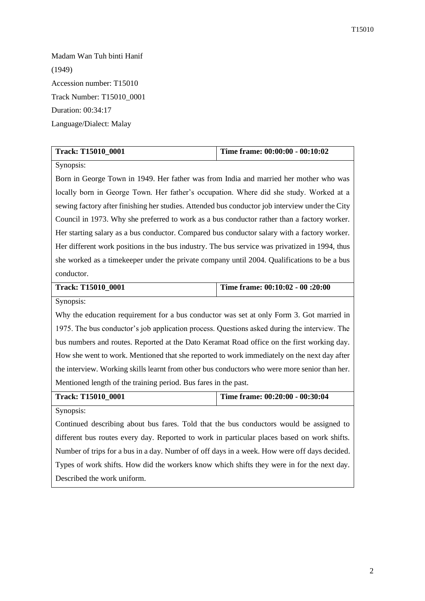Madam Wan Tuh binti Hanif (1949) Accession number: T15010 Track Number: T15010\_0001 Duration: 00:34:17 Language/Dialect: Malay

| <b>Track: T15010 0001</b> | Time frame: $00:00:00 - 00:10:02$ |
|---------------------------|-----------------------------------|

## Synopsis:

Born in George Town in 1949. Her father was from India and married her mother who was locally born in George Town. Her father's occupation. Where did she study. Worked at a sewing factory after finishing her studies. Attended bus conductor job interview under the City Council in 1973. Why she preferred to work as a bus conductor rather than a factory worker. Her starting salary as a bus conductor. Compared bus conductor salary with a factory worker. Her different work positions in the bus industry. The bus service was privatized in 1994, thus she worked as a timekeeper under the private company until 2004. Qualifications to be a bus conductor.

| <b>Track: T15010 0001</b> | Time frame: 00:10:02 - 00:20:00 |
|---------------------------|---------------------------------|
| $-$                       |                                 |

Synopsis:

Why the education requirement for a bus conductor was set at only Form 3. Got married in 1975. The bus conductor's job application process. Questions asked during the interview. The bus numbers and routes. Reported at the Dato Keramat Road office on the first working day. How she went to work. Mentioned that she reported to work immediately on the next day after the interview. Working skills learnt from other bus conductors who were more senior than her. Mentioned length of the training period. Bus fares in the past.

**Track: T15010\_0001 Time frame: 00:20:00 - 00:30:04** 

Synopsis:

Continued describing about bus fares. Told that the bus conductors would be assigned to different bus routes every day. Reported to work in particular places based on work shifts. Number of trips for a bus in a day. Number of off days in a week. How were off days decided. Types of work shifts. How did the workers know which shifts they were in for the next day. Described the work uniform.